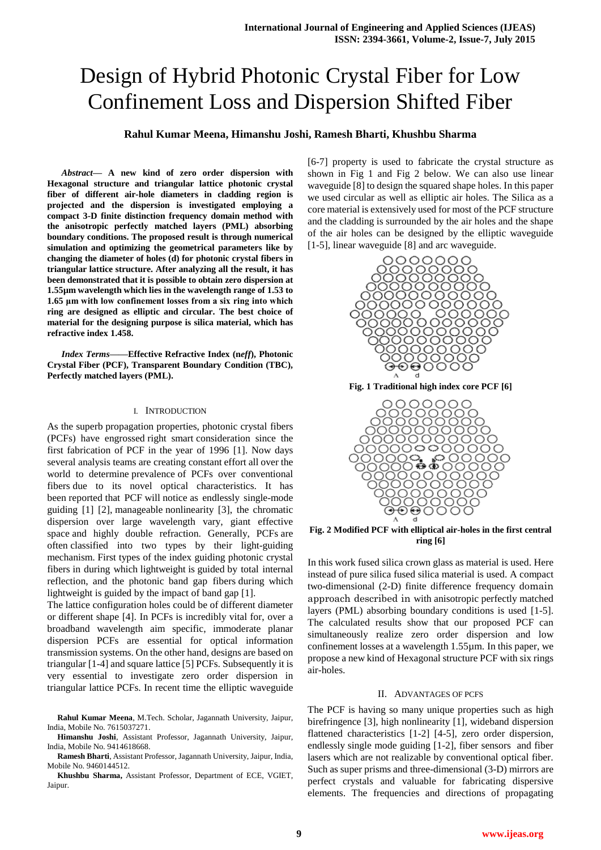# Design of Hybrid Photonic Crystal Fiber for Low Confinement Loss and Dispersion Shifted Fiber

## **Rahul Kumar Meena, Himanshu Joshi, Ramesh Bharti, Khushbu Sharma**

*Abstract***— A new kind of zero order dispersion with Hexagonal structure and triangular lattice photonic crystal fiber of different air-hole diameters in cladding region is projected and the dispersion is investigated employing a compact 3-D finite distinction frequency domain method with the anisotropic perfectly matched layers (PML) absorbing boundary conditions. The proposed result is through numerical simulation and optimizing the geometrical parameters like by changing the diameter of holes (d) for photonic crystal fibers in triangular lattice structure. After analyzing all the result, it has been demonstrated that it is possible to obtain zero dispersion at 1.55µm wavelength which lies in the wavelength range of 1.53 to 1.65 μm with low confinement losses from a six ring into which ring are designed as elliptic and circular. The best choice of material for the designing purpose is silica material, which has refractive index 1.458.**

*Index Terms***——Effective Refractive Index (n***eff***), Photonic Crystal Fiber (PCF), Transparent Boundary Condition (TBC), Perfectly matched layers (PML).** 

#### I. INTRODUCTION

As the superb propagation properties, photonic crystal fibers (PCFs) have engrossed right smart consideration since the first fabrication of PCF in the year of 1996 [1]. Now days several analysis teams are creating constant effort all over the world to determine prevalence of PCFs over conventional fibers due to its novel optical characteristics. It has been reported that PCF will notice as endlessly single-mode guiding [1] [2], manageable nonlinearity [3], the chromatic dispersion over large wavelength vary, giant effective space and highly double refraction. Generally, PCFs are often classified into two types by their light-guiding mechanism. First types of the index guiding photonic crystal fibers in during which lightweight is guided by total internal reflection, and the photonic band gap fibers during which lightweight is guided by the impact of band gap [1].

The lattice configuration holes could be of different diameter or different shape [4]. In PCFs is incredibly vital for, over a broadband wavelength aim specific, immoderate planar dispersion PCFs are essential for optical information transmission systems. On the other hand, designs are based on triangular [1-4] and square lattice [5] PCFs. Subsequently it is very essential to investigate zero order dispersion in triangular lattice PCFs. In recent time the elliptic waveguide

**Rahul Kumar Meena**, M.Tech. Scholar, Jagannath University, Jaipur, India, Mobile No. 7615037271.

**Himanshu Joshi**, Assistant Professor, Jagannath University, Jaipur, India, Mobile No. 9414618668.

**Ramesh Bharti**, Assistant Professor, Jagannath University, Jaipur, India, Mobile No. 9460144512.

**Khushbu Sharma,** Assistant Professor, Department of ECE, VGIET, Jaipur.

[6-7] property is used to fabricate the crystal structure as shown in Fig 1 and Fig 2 below. We can also use linear waveguide [8] to design the squared shape holes. In this paper we used circular as well as elliptic air holes. The Silica as a core material is extensively used for most of the PCF structure and the cladding is surrounded by the air holes and the shape of the air holes can be designed by the elliptic waveguide [1-5], linear waveguide [8] and arc waveguide.



**Fig. 2 Modified PCF with elliptical air-holes in the first central ring [6]**

In this work fused silica crown glass as material is used. Here instead of pure silica fused silica material is used. A compact two-dimensional (2-D) finite difference frequency domain approach described in with anisotropic perfectly matched layers (PML) absorbing boundary conditions is used [1-5]. The calculated results show that our proposed PCF can simultaneously realize zero order dispersion and low confinement losses at a wavelength 1.55µm. In this paper, we propose a new kind of Hexagonal structure PCF with six rings air-holes.

#### II. ADVANTAGES OF PCFS

The PCF is having so many unique properties such as high birefringence [3], high nonlinearity [1], wideband dispersion flattened characteristics [1-2] [4-5], zero order dispersion, endlessly single mode guiding [1-2], fiber sensors and fiber lasers which are not realizable by conventional optical fiber. Such as super prisms and three-dimensional (3-D) mirrors are perfect crystals and valuable for fabricating dispersive elements. The frequencies and directions of propagating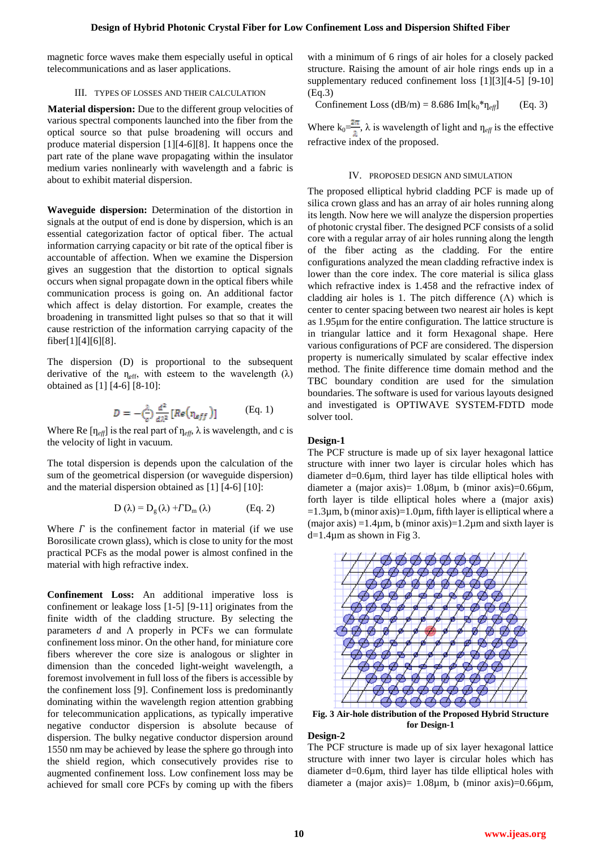magnetic force waves make them especially useful in optical telecommunications and as laser applications.

#### III. TYPES OF LOSSES AND THEIR CALCULATION

 **Material dispersion:** Due to the different group velocities of various spectral components launched into the fiber from the optical source so that pulse broadening will occurs and produce material dispersion [1][4-6][8]. It happens once the part rate of the plane wave propagating within the insulator medium varies nonlinearly with wavelength and a fabric is about to exhibit material dispersion.

**Waveguide dispersion:** Determination of the distortion in signals at the output of end is done by dispersion, which is an essential categorization factor of optical fiber. The actual information carrying capacity or bit rate of the optical fiber is accountable of affection. When we examine the Dispersion gives an suggestion that the distortion to optical signals occurs when signal propagate down in the optical fibers while communication process is going on. An additional factor which affect is delay distortion. For example, creates the broadening in transmitted light pulses so that so that it will cause restriction of the information carrying capacity of the fiber[1][4][6][8].

The dispersion (D) is proportional to the subsequent derivative of the  $\eta_{\text{eff}}$ , with esteem to the wavelength ( $\lambda$ ) obtained as [1] [4-6] [8-10]:

$$
D = -\frac{\lambda}{c} \frac{d^2}{d\lambda^2} [Re(\eta_{eff})]
$$
 (Eq. 1)

Where Re  $[\eta_{\text{eff}}]$  is the real part of  $\eta_{\text{eff}}$ ,  $\lambda$  is wavelength, and c is the velocity of light in vacuum.

The total dispersion is depends upon the calculation of the sum of the geometrical dispersion (or waveguide dispersion) and the material dispersion obtained as [1] [4-6] [10]:

$$
D(\lambda) = D_g(\lambda) + T D_m(\lambda)
$$
 (Eq. 2)

Where  $\Gamma$  is the confinement factor in material (if we use Borosilicate crown glass), which is close to unity for the most practical PCFs as the modal power is almost confined in the material with high refractive index.

**Confinement Loss:** An additional imperative loss is confinement or leakage loss [1-5] [9-11] originates from the finite width of the cladding structure. By selecting the parameters *d* and Λ properly in PCFs we can formulate confinement loss minor. On the other hand, for miniature core fibers wherever the core size is analogous or slighter in dimension than the conceded light-weight wavelength, a foremost involvement in full loss of the fibers is accessible by the confinement loss [9]. Confinement loss is predominantly dominating within the wavelength region attention grabbing for telecommunication applications, as typically imperative negative conductor dispersion is absolute because of dispersion. The bulky negative conductor dispersion around 1550 nm may be achieved by lease the sphere go through into the shield region, which consecutively provides rise to augmented confinement loss. Low confinement loss may be achieved for small core PCFs by coming up with the fibers

with a minimum of 6 rings of air holes for a closely packed structure. Raising the amount of air hole rings ends up in a supplementary reduced confinement loss [1][3][4-5] [9-10] (Eq.3)

Confinement Loss  $(dB/m) = 8.686$  Im $[k_0 * \eta_{eff}]$  (Eq. 3)

Where  $k_0 = \frac{2\pi}{\lambda}$ ,  $\lambda$  is wavelength of light and  $\eta_{\text{eff}}$  is the effective refractive index of the proposed.

#### IV. PROPOSED DESIGN AND SIMULATION

The proposed elliptical hybrid cladding PCF is made up of silica crown glass and has an array of air holes running along its length. Now here we will analyze the dispersion properties of photonic crystal fiber. The designed PCF consists of a solid core with a regular array of air holes running along the length of the fiber acting as the cladding. For the entire configurations analyzed the mean cladding refractive index is lower than the core index. The core material is silica glass which refractive index is 1.458 and the refractive index of cladding air holes is 1. The pitch difference  $(Λ)$  which is center to center spacing between two nearest air holes is kept as 1.95μm for the entire configuration. The lattice structure is in triangular lattice and it form Hexagonal shape. Here various configurations of PCF are considered. The dispersion property is numerically simulated by scalar effective index method. The finite difference time domain method and the TBC boundary condition are used for the simulation boundaries. The software is used for various layouts designed and investigated is OPTIWAVE SYSTEM-FDTD mode solver tool.

### **Design-1**

The PCF structure is made up of six layer hexagonal lattice structure with inner two layer is circular holes which has diameter d=0.6µm, third layer has tilde elliptical holes with diameter a (major axis)= 1.08µm, b (minor axis)=0.66µm, forth layer is tilde elliptical holes where a (major axis)  $=1.3\mu$ m, b (minor axis) $=1.0\mu$ m, fifth layer is elliptical where a (major axis) =1.4 $\mu$ m, b (minor axis) =1.2 $\mu$ m and sixth layer is  $d=1.4\mu$ m as shown in Fig 3.



**Fig. 3 Air-hole distribution of the Proposed Hybrid Structure for Design-1**

## **Design-2**

The PCF structure is made up of six layer hexagonal lattice structure with inner two layer is circular holes which has diameter d=0.6µm, third layer has tilde elliptical holes with diameter a (major axis)=  $1.08\mu$ m, b (minor axis)=0.66 $\mu$ m,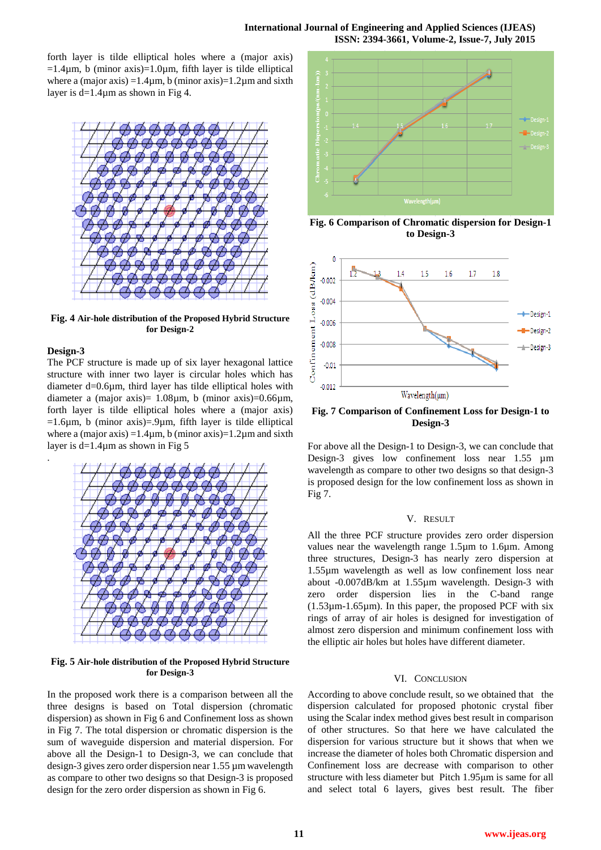forth layer is tilde elliptical holes where a (major axis)  $=1.4\mu$ m, b (minor axis) $=1.0\mu$ m, fifth layer is tilde elliptical where a (major axis) =  $1.4\mu$ m, b (minor axis) =  $1.2\mu$ m and sixth layer is  $d=1.4\mu m$  as shown in Fig 4.



**Fig. 4 Air-hole distribution of the Proposed Hybrid Structure for Design-2**

### **Design-3**

.

The PCF structure is made up of six layer hexagonal lattice structure with inner two layer is circular holes which has diameter d=0.6µm, third layer has tilde elliptical holes with diameter a (major axis)=  $1.08\mu$ m, b (minor axis)=0.66 $\mu$ m, forth layer is tilde elliptical holes where a (major axis)  $=1.6\mu$ m, b (minor axis) $=9\mu$ m, fifth layer is tilde elliptical where a (major axis) =  $1.4\mu$ m, b (minor axis) =  $1.2\mu$ m and sixth layer is d=1.4µm as shown in Fig 5



**Fig. 5 Air-hole distribution of the Proposed Hybrid Structure for Design-3**

In the proposed work there is a comparison between all the three designs is based on Total dispersion (chromatic dispersion) as shown in Fig 6 and Confinement loss as shown in Fig 7. The total dispersion or chromatic dispersion is the sum of waveguide dispersion and material dispersion. For above all the Design-1 to Design-3, we can conclude that design-3 gives zero order dispersion near 1.55 µm wavelength as compare to other two designs so that Design-3 is proposed design for the zero order dispersion as shown in Fig 6.



**Fig. 6 Comparison of Chromatic dispersion for Design-1 to Design-3** 



**Fig. 7 Comparison of Confinement Loss for Design-1 to Design-3** 

For above all the Design-1 to Design-3, we can conclude that Design-3 gives low confinement loss near 1.55 µm wavelength as compare to other two designs so that design-3 is proposed design for the low confinement loss as shown in Fig 7.

#### V. RESULT

All the three PCF structure provides zero order dispersion values near the wavelength range 1.5µm to 1.6µm. Among three structures, Design-3 has nearly zero dispersion at 1.55µm wavelength as well as low confinement loss near about -0.007dB/km at 1.55µm wavelength. Design-3 with zero order dispersion lies in the C-band range  $(1.53\mu m-1.65\mu m)$ . In this paper, the proposed PCF with six rings of array of air holes is designed for investigation of almost zero dispersion and minimum confinement loss with the elliptic air holes but holes have different diameter.

#### VI. CONCLUSION

According to above conclude result, so we obtained that the dispersion calculated for proposed photonic crystal fiber using the Scalar index method gives best result in comparison of other structures. So that here we have calculated the dispersion for various structure but it shows that when we increase the diameter of holes both Chromatic dispersion and Confinement loss are decrease with comparison to other structure with less diameter but Pitch 1.95μm is same for all and select total 6 layers, gives best result. The fiber